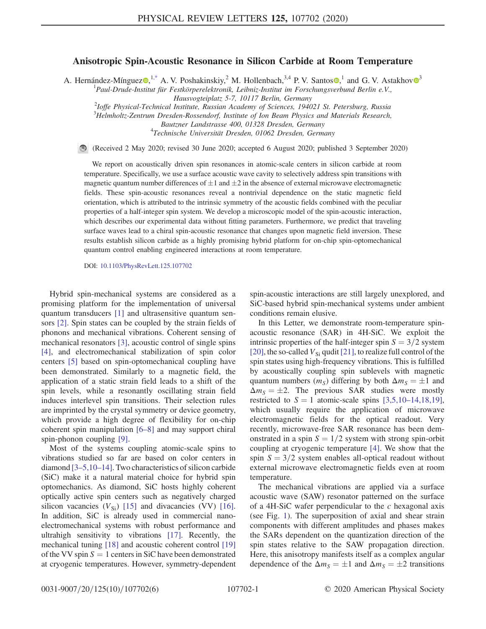## Anisotropic Spin-Acoustic Resonance in Silicon Carbide at Room Temperature

<span id="page-0-0"></span>A. Hernández-Mínguez $\bullet$ ,<sup>[1,\\*](#page-4-0)</sup> A. V. Poshakinskiy,<sup>2</sup> M. Hollenbach,<sup>[3](https://orcid.org/0000-0003-1807-3534),4</sup> P. V. Santos  $\bullet$ ,<sup>1</sup> and G. V. Astakhov  $\bullet$ <sup>3</sup>

<sup>1</sup> Paul-Drude-Institut für Festkörperelektronik, Leibniz-Institut im Forschungsverbund Berlin e.V.,

Hausvogteiplatz 5-7, 10117 Berlin, Germany<br><sup>2</sup>Ioffe Physical-Technical Institute, Russian Academy of Sciences, 194021 St. Petersburg, Russia<sup>2</sup>

 $3$ Helmholtz-Zentrum Dresden-Rossendorf, Institute of Ion Beam Physics and Materials Research,

Bautzner Landstrasse 400, 01328 Dresden, Germany <sup>4</sup>

<sup>4</sup>Technische Universität Dresden, 01062 Dresden, Germany

(Received 2 May 2020; revised 30 June 2020; accepted 6 August 2020; published 3 September 2020)

We report on acoustically driven spin resonances in atomic-scale centers in silicon carbide at room temperature. Specifically, we use a surface acoustic wave cavity to selectively address spin transitions with magnetic quantum number differences of  $\pm 1$  and  $\pm 2$  in the absence of external microwave electromagnetic fields. These spin-acoustic resonances reveal a nontrivial dependence on the static magnetic field orientation, which is attributed to the intrinsic symmetry of the acoustic fields combined with the peculiar properties of a half-integer spin system. We develop a microscopic model of the spin-acoustic interaction, which describes our experimental data without fitting parameters. Furthermore, we predict that traveling surface waves lead to a chiral spin-acoustic resonance that changes upon magnetic field inversion. These results establish silicon carbide as a highly promising hybrid platform for on-chip spin-optomechanical quantum control enabling engineered interactions at room temperature.

DOI: [10.1103/PhysRevLett.125.107702](https://doi.org/10.1103/PhysRevLett.125.107702)

Hybrid spin-mechanical systems are considered as a promising platform for the implementation of universal quantum transducers [\[1\]](#page-4-1) and ultrasensitive quantum sensors [\[2\]](#page-4-2). Spin states can be coupled by the strain fields of phonons and mechanical vibrations. Coherent sensing of mechanical resonators [\[3\],](#page-4-3) acoustic control of single spins [\[4\]](#page-4-4), and electromechanical stabilization of spin color centers [\[5\]](#page-4-5) based on spin-optomechanical coupling have been demonstrated. Similarly to a magnetic field, the application of a static strain field leads to a shift of the spin levels, while a resonantly oscillating strain field induces interlevel spin transitions. Their selection rules are imprinted by the crystal symmetry or device geometry, which provide a high degree of flexibility for on-chip coherent spin manipulation [6–[8\]](#page-4-6) and may support chiral spin-phonon coupling [\[9\]](#page-4-7).

Most of the systems coupling atomic-scale spins to vibrations studied so far are based on color centers in diamond [3–[5,10](#page-4-3)–14]. Two characteristics of silicon carbide (SiC) make it a natural material choice for hybrid spin optomechanics. As diamond, SiC hosts highly coherent optically active spin centers such as negatively charged silicon vacancies  $(V_{\text{Si}})$  [\[15\]](#page-4-8) and divacancies (VV) [\[16\]](#page-4-9). In addition, SiC is already used in commercial nanoelectromechanical systems with robust performance and ultrahigh sensitivity to vibrations [\[17\]](#page-4-10). Recently, the mechanical tuning [\[18\]](#page-4-11) and acoustic coherent control [\[19\]](#page-4-12) of the VV spin  $S = 1$  centers in SiC have been demonstrated at cryogenic temperatures. However, symmetry-dependent spin-acoustic interactions are still largely unexplored, and SiC-based hybrid spin-mechanical systems under ambient conditions remain elusive.

In this Letter, we demonstrate room-temperature spinacoustic resonance (SAR) in 4H-SiC. We exploit the intrinsic properties of the half-integer spin  $S = 3/2$  system [\[20\]](#page-4-13), the so-called  $V_{Si}$  qudit [\[21\]](#page-4-14), to realize full control of the spin states using high-frequency vibrations. This is fulfilled by acoustically coupling spin sublevels with magnetic quantum numbers  $(m<sub>S</sub>)$  differing by both  $\Delta m<sub>S</sub> = \pm 1$  and  $\Delta m_S = \pm 2$ . The previous SAR studies were mostly restricted to  $S = 1$  atomic-scale spins [3,5,10–[14,18,19\]](#page-4-3), which usually require the application of microwave electromagnetic fields for the optical readout. Very recently, microwave-free SAR resonance has been demonstrated in a spin  $S = 1/2$  system with strong spin-orbit coupling at cryogenic temperature [\[4\].](#page-4-4) We show that the spin  $S = 3/2$  system enables all-optical readout without external microwave electromagnetic fields even at room temperature.

The mechanical vibrations are applied via a surface acoustic wave (SAW) resonator patterned on the surface of a 4H-SiC wafer perpendicular to the  $c$  hexagonal axis (see Fig. [1](#page-1-0)). The superposition of axial and shear strain components with different amplitudes and phases makes the SARs dependent on the quantization direction of the spin states relative to the SAW propagation direction. Here, this anisotropy manifests itself as a complex angular dependence of the  $\Delta m_S = \pm 1$  and  $\Delta m_S = \pm 2$  transitions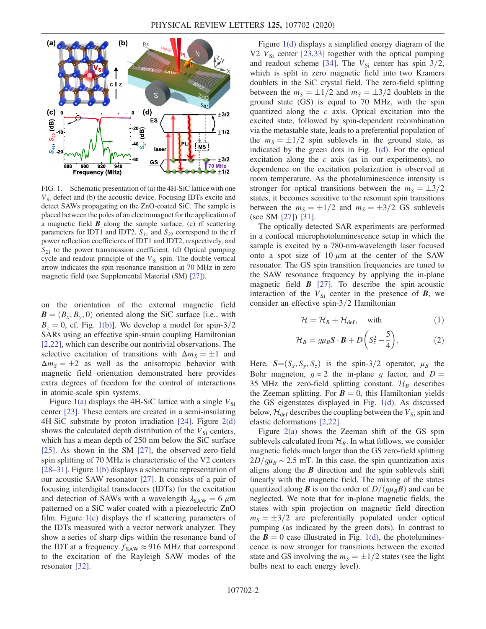<span id="page-1-0"></span>

FIG. 1. Schematic presentation of (a) the 4H-SiC lattice with one  $V_{\text{Si}}$  defect and (b) the acoustic device. Focusing IDTs excite and detect SAWs propagating on the ZnO-coated SiC. The sample is placed between the poles of an electromagnet for the application of a magnetic field  $\bm{B}$  along the sample surface. (c) rf scattering parameters for IDT1 and IDT2.  $S_{11}$  and  $S_{22}$  correspond to the rf power reflection coefficients of IDT1 and IDT2, respectively, and  $S_{21}$  to the power transmission coefficient. (d) Optical pumping cycle and readout principle of the  $V_{\text{Si}}$  spin. The double vertical arrow indicates the spin resonance transition at 70 MHz in zero magnetic field (see Supplemental Material (SM) [\[27\]\)](#page-5-1).

on the orientation of the external magnetic field  $\mathbf{B} = (B_x, B_y, 0)$  oriented along the SiC surface [i.e., with  $B<sub>z</sub> = 0$ , cf. Fig. [1\(b\)\]](#page-1-0). We develop a model for spin-3/2 SARs using an effective spin-strain coupling Hamiltonian [\[2,22\]](#page-4-2), which can describe our nontrivial observations. The selective excitation of transitions with  $\Delta m_S = \pm 1$  and  $\Delta m_S = \pm 2$  as well as the anisotropic behavior with magnetic field orientation demonstrated here provides extra degrees of freedom for the control of interactions in atomic-scale spin systems.

Figure [1\(a\)](#page-1-0) displays the 4H-SiC lattice with a single  $V_{Si}$ center [\[23\].](#page-4-15) These centers are created in a semi-insulating 4H-SiC substrate by proton irradiation [\[24\]](#page-4-16). Figure [2\(d\)](#page-2-0) shows the calculated depth distribution of the  $V_{Si}$  centers, which has a mean depth of 250 nm below the SiC surface [\[25\].](#page-5-0) As shown in the SM [\[27\]](#page-5-1), the observed zero-field spin splitting of 70 MHz is characteristic of the V2 centers [\[28](#page-5-2)–31]. Figure [1\(b\)](#page-1-0) displays a schematic representation of our acoustic SAW resonator [\[27\]](#page-5-1). It consists of a pair of focusing interdigital transducers (IDTs) for the excitation and detection of SAWs with a wavelength  $\lambda_{\text{SAW}} = 6 \ \mu \text{m}$ patterned on a SiC wafer coated with a piezoelectric ZnO film. Figure [1\(c\)](#page-1-0) displays the rf scattering parameters of the IDTs measured with a vector network analyzer. They show a series of sharp dips within the resonance band of the IDT at a frequency  $f_{\text{SAW}} \approx 916 \text{ MHz}$  that correspond to the excitation of the Rayleigh SAW modes of the resonator [\[32\]](#page-5-3).

Figure [1\(d\)](#page-1-0) displays a simplified energy diagram of the V2  $V_{Si}$  center [\[23,33\]](#page-4-15) together with the optical pumping and readout scheme [\[34\].](#page-5-4) The  $V_{Si}$  center has spin 3/2, which is split in zero magnetic field into two Kramers doublets in the SiC crystal field. The zero-field splitting between the  $m<sub>S</sub> = \pm 1/2$  and  $m<sub>S</sub> = \pm 3/2$  doublets in the ground state (GS) is equal to 70 MHz, with the spin quantized along the  $c$  axis. Optical excitation into the excited state, followed by spin-dependent recombination via the metastable state, leads to a preferential population of the  $m<sub>S</sub> = \pm 1/2$  spin sublevels in the ground state, as indicated by the green dots in Fig. [1\(d\)](#page-1-0). For the optical excitation along the  $c$  axis (as in our experiments), no dependence on the excitation polarization is observed at room temperature. As the photoluminescence intensity is stronger for optical transitions between the  $m<sub>S</sub> = \pm 3/2$ states, it becomes sensitive to the resonant spin transitions between the  $m<sub>S</sub> = \pm 1/2$  and  $m<sub>S</sub> = \pm 3/2$  GS sublevels (see SM [\[27\]](#page-5-1)) [\[31\].](#page-5-5)

The optically detected SAR experiments are performed in a confocal microphotoluminescence setup in which the sample is excited by a 780-nm-wavelength laser focused onto a spot size of 10  $\mu$ m at the center of the SAW resonator. The GS spin transition frequencies are tuned to the SAW resonance frequency by applying the in-plane magnetic field  $\boldsymbol{B}$  [\[27\].](#page-5-1) To describe the spin-acoustic interaction of the  $V_{\rm Si}$  center in the presence of  $\bf{B}$ , we consider an effective spin- $3/2$  Hamiltonian

<span id="page-1-1"></span>
$$
\mathcal{H} = \mathcal{H}_B + \mathcal{H}_{\text{def}}, \quad \text{with} \tag{1}
$$

$$
\mathcal{H}_B = g\mu_B \mathbf{S} \cdot \mathbf{B} + D\left(S_z^2 - \frac{5}{4}\right). \tag{2}
$$

<span id="page-1-2"></span>Here,  $S=(S_x, S_y, S_z)$  is the spin-3/2 operator,  $\mu_B$  the Bohr magneton,  $q \approx 2$  the in-plane g factor, and  $D =$ 35 MHz the zero-field splitting constant.  $\mathcal{H}_B$  describes the Zeeman splitting. For  $\mathbf{B} = 0$ , this Hamiltonian yields the GS eigenstates displayed in Fig. [1\(d\).](#page-1-0) As discussed below,  $\mathcal{H}_{\text{def}}$  describes the coupling between the  $V_{\text{Si}}$  spin and elastic deformations [\[2,22\]](#page-4-2).

Figure [2\(a\)](#page-2-0) shows the Zeeman shift of the GS spin sublevels calculated from  $\mathcal{H}_B$ . In what follows, we consider magnetic fields much larger than the GS zero-field splitting  $2D/q\mu_B \sim 2.5$  mT. In this case, the spin quantization axis aligns along the  $B$  direction and the spin sublevels shift linearly with the magnetic field. The mixing of the states quantized along **B** is on the order of  $D/(g\mu_B B)$  and can be neglected. We note that for in-plane magnetic fields, the states with spin projection on magnetic field direction  $m<sub>S</sub> = \pm 3/2$  are preferentially populated under optical pumping (as indicated by the green dots). In contrast to the  $B = 0$  case illustrated in Fig. [1\(d\)](#page-1-0), the photoluminescence is now stronger for transitions between the excited state and GS involving the  $m<sub>S</sub> = \pm 1/2$  states (see the light bulbs next to each energy level).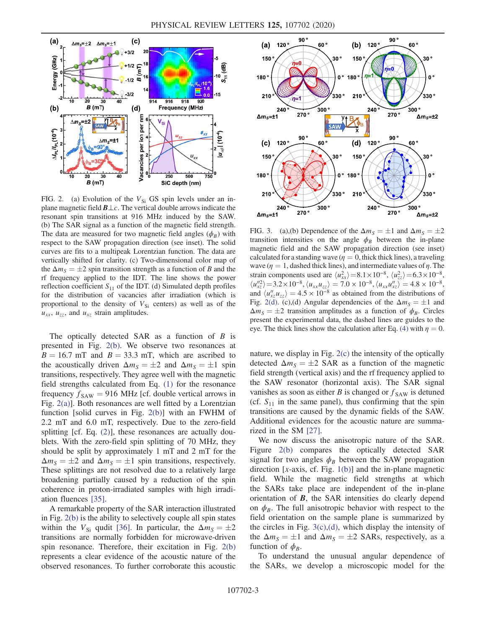<span id="page-2-0"></span>

FIG. 2. (a) Evolution of the  $V_{Si}$  GS spin levels under an inplane magnetic field  $B\perp c$ . The vertical double arrows indicate the resonant spin transitions at 916 MHz induced by the SAW. (b) The SAR signal as a function of the magnetic field strength. The data are measured for two magnetic field angles  $(\phi_B)$  with respect to the SAW propagation direction (see inset). The solid curves are fits to a multipeak Lorentzian function. The data are vertically shifted for clarity. (c) Two-dimensional color map of the  $\Delta m_S = \pm 2$  spin transition strength as a function of B and the rf frequency applied to the IDT. The line shows the power reflection coefficient  $S_{11}$  of the IDT. (d) Simulated depth profiles for the distribution of vacancies after irradiation (which is proportional to the density of  $V_{Si}$  centers) as well as of the  $u_{xx}$ ,  $u_{zz}$ , and  $u_{xz}$  strain amplitudes.

The optically detected SAR as a function of  $B$  is presented in Fig. [2\(b\).](#page-2-0) We observe two resonances at  $B = 16.7$  mT and  $B = 33.3$  mT, which are ascribed to the acoustically driven  $\Delta m_S = \pm 2$  and  $\Delta m_S = \pm 1$  spin transitions, respectively. They agree well with the magnetic field strengths calculated from Eq. [\(1\)](#page-1-1) for the resonance frequency  $f_{SAW} = 916$  MHz [cf. double vertical arrows in Fig. [2\(a\)](#page-2-0)]. Both resonances are well fitted by a Lorentzian function [solid curves in Fig. [2\(b\)](#page-2-0)] with an FWHM of 2.2 mT and 6.0 mT, respectively. Due to the zero-field splitting [cf. Eq. [\(2\)\]](#page-1-2), these resonances are actually doublets. With the zero-field spin splitting of 70 MHz, they should be split by approximately 1 mT and 2 mT for the  $\Delta m_S = \pm 2$  and  $\Delta m_S = \pm 1$  spin transitions, respectively. These splittings are not resolved due to a relatively large broadening partially caused by a reduction of the spin coherence in proton-irradiated samples with high irradiation fluences [\[35\].](#page-5-6)

A remarkable property of the SAR interaction illustrated in Fig. [2\(b\)](#page-2-0) is the ability to selectively couple all spin states within the  $V_{\text{Si}}$  qudit [\[36\].](#page-5-7) In particular, the  $\Delta m_S = \pm 2$ transitions are normally forbidden for microwave-driven spin resonance. Therefore, their excitation in Fig. [2\(b\)](#page-2-0) represents a clear evidence of the acoustic nature of the observed resonances. To further corroborate this acoustic

<span id="page-2-1"></span>

FIG. 3. (a),(b) Dependence of the  $\Delta m_S = \pm 1$  and  $\Delta m_S = \pm 2$ transition intensities on the angle  $\phi_B$  between the in-plane magnetic field and the SAW propagation direction (see inset) calculated for a standing wave ( $\eta = 0$ , thick thick lines), a traveling wave ( $\eta = 1$ , dashed thick lines), and intermediate values of  $\eta$ . The strain components used are  $\langle u_{xx}^2 \rangle = 8.1 \times 10^{-8}$ ,  $\langle u_{zz}^2 \rangle = 6.3 \times 10^{-8}$ ,  $\langle u_{zz}^2 \rangle = 3.2 \times 10^{-8}$ ,  $\langle u_{zz} u_2 \rangle = 7.0 \times 10^{-8}$ ,  $\langle u_{zz} u_2 \rangle = 4.8 \times 10^{-8}$  $\langle u_{xx}^{''2} \rangle = 3.2 \times 10^{-8}, \langle u_{xx} u_{zz} \rangle = 7.0 \times 10^{-8}, \langle u_{xx} u_{xz}^{''} \rangle = 4.8 \times 10^{-8},$ <br>and  $\langle u_{xx}^{''} u_{zz} \rangle = 4.5 \times 10^{-8}$  as obtained from the distributions of and  $\langle u''_{xz} u_{zz} \rangle = 4.5 \times 10^{-8}$  as obtained from the distributions of Fig. 2(d) (c) (d) Angular dependencies of the  $\Delta m_{\text{g}} = \pm 1$  and Fig. [2\(d\).](#page-2-0) (c),(d) Angular dependencies of the  $\Delta m_S = \pm 1$  and  $\Delta m_S = \pm 2$  transition amplitudes as a function of  $\phi_B$ . Circles present the experimental data, the dashed lines are guides to the eye. The thick lines show the calculation after Eq. [\(4\)](#page-3-0) with  $\eta = 0$ .

nature, we display in Fig. [2\(c\)](#page-2-0) the intensity of the optically detected  $\Delta m_S = \pm 2$  SAR as a function of the magnetic field strength (vertical axis) and the rf frequency applied to the SAW resonator (horizontal axis). The SAR signal vanishes as soon as either B is changed or  $f_{SAW}$  is detuned (cf.  $S_{11}$  in the same panel), thus confirming that the spin transitions are caused by the dynamic fields of the SAW. Additional evidences for the acoustic nature are summarized in the SM [\[27\]](#page-5-1).

We now discuss the anisotropic nature of the SAR. Figure [2\(b\)](#page-2-0) compares the optically detected SAR signal for two angles  $\phi_B$  between the SAW propagation direction [x-axis, cf. Fig.  $1(b)$ ] and the in-plane magnetic field. While the magnetic field strengths at which the SARs take place are independent of the in-plane orientation of  $B$ , the SAR intensities do clearly depend on  $\phi_B$ . The full anisotropic behavior with respect to the field orientation on the sample plane is summarized by the circles in Fig.  $3(c)$ , (d), which display the intensity of the  $\Delta m_S = \pm 1$  and  $\Delta m_S = \pm 2$  SARs, respectively, as a function of  $\phi_B$ .

To understand the unusual angular dependence of the SARs, we develop a microscopic model for the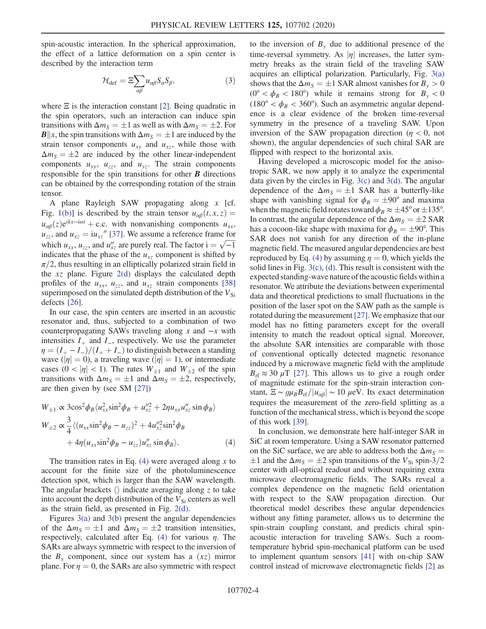<span id="page-3-1"></span>spin-acoustic interaction. In the spherical approximation, the effect of a lattice deformation on a spin center is described by the interaction term

$$
\mathcal{H}_{\text{def}} = \Xi \sum_{\alpha \beta} u_{\alpha \beta} S_{\alpha} S_{\beta},\tag{3}
$$

where  $\Xi$  is the interaction constant [\[2\]](#page-4-2). Being quadratic in the spin operators, such an interaction can induce spin transitions with  $\Delta m_S = \pm 1$  as well as with  $\Delta m_S = \pm 2$ . For **B**||x, the spin transitions with  $\Delta m_S = \pm 1$  are induced by the strain tensor components  $u_{xy}$  and  $u_{xz}$ , while those with  $\Delta m_S = \pm 2$  are induced by the other linear-independent components  $u_{yy}$ ,  $u_{zz}$ , and  $u_{yz}$ . The strain components responsible for the spin transitions for other  $\bm{B}$  directions can be obtained by the corresponding rotation of the strain tensor.

A plane Rayleigh SAW propagating along x [cf. Fig. [1\(b\)](#page-1-0)] is described by the strain tensor  $u_{\alpha\beta}(t, x, z) =$  $u_{\alpha\beta}(z)e^{ikx-i\omega t}$  + c.c. with nonvanishing components  $u_{xx}$ ,  $u_{zz}$ , and  $u_{xz} = iu_{xz}$ <sup>"</sup> [\[37\].](#page-5-8) We assume a reference frame for which  $u_{xx}$ ,  $u_{zz}$ , and  $u_{xz}''$  are purely real. The factor  $i = \sqrt{-1}$ <br>indicates that the phase of the u component is shifted by indicates that the phase of the  $u_{xz}$  component is shifted by  $\pi/2$ , thus resulting in an elliptically polarized strain field in the  $xz$  plane. Figure  $2(d)$  displays the calculated depth profiles of the  $u_{xx}$ ,  $u_{zz}$ , and  $u_{xz}$  strain components [\[38\]](#page-5-9) superimposed on the simulated depth distribution of the  $V_{\rm Si}$ defects [\[26\]](#page-5-10).

In our case, the spin centers are inserted in an acoustic resonator and, thus, subjected to a combination of two counterpropagating SAWs traveling along x and  $-x$  with intensities  $I_+$  and  $I_-$ , respectively. We use the parameter  $\eta = (I_{+} - I_{-})/(I_{+} + I_{-})$  to distinguish between a standing wave ( $|\eta| = 0$ ), a traveling wave ( $|\eta| = 1$ ), or intermediate cases  $(0 < |\eta| < 1)$ . The rates  $W_{\pm 1}$  and  $W_{\pm 2}$  of the spin transitions with  $\Delta m_S = \pm 1$  and  $\Delta m_S = \pm 2$ , respectively, are then given by (see SM [\[27\]\)](#page-5-1)

<span id="page-3-0"></span>
$$
W_{\pm 1} \propto 3\cos^2 \phi_B \langle u_{xx}^2 \sin^2 \phi_B + u_{xz}^{\prime\prime 2} + 2\eta u_{xx} u_{xz}^{\prime\prime} \sin \phi_B \rangle
$$
  
\n
$$
W_{\pm 2} \propto \frac{3}{4} \langle (u_{xx} \sin^2 \phi_B - u_{zz})^2 + 4u_{xz}^{\prime\prime 2} \sin^2 \phi_B + 4\eta (u_{xx} \sin^2 \phi_B - u_{zz}) u_{xz}^{\prime\prime} \sin \phi_B \rangle.
$$
 (4)

The transition rates in Eq.  $(4)$  were averaged along x to account for the finite size of the photoluminescence detection spot, which is larger than the SAW wavelength. The angular brackets  $\langle \rangle$  indicate averaging along z to take into account the depth distribution of the  $V_{\rm Si}$  centers as well as the strain field, as presented in Fig. [2\(d\)](#page-2-0).

Figures [3\(a\)](#page-2-1) and [3\(b\)](#page-2-1) present the angular dependencies of the  $\Delta m_S = \pm 1$  and  $\Delta m_S = \pm 2$  transition intensities, respectively, calculated after Eq. [\(4\)](#page-3-0) for various  $\eta$ . The SARs are always symmetric with respect to the inversion of the  $B_x$  component, since our system has a  $(xz)$  mirror plane. For  $\eta = 0$ , the SARs are also symmetric with respect to the inversion of  $B<sub>y</sub>$  due to additional presence of the time-reversal symmetry. As  $|\eta|$  increases, the latter symmetry breaks as the strain field of the traveling SAW acquires an elliptical polarization. Particularly, Fig. [3\(a\)](#page-2-1) shows that the  $\Delta m_S = \pm 1$  SAR almost vanishes for  $B_v > 0$  $(0^{\circ} < \phi_B < 180^{\circ})$  while it remains strong for  $B_y < 0$ (180°  $< \phi_B <$  360°). Such an asymmetric angular dependence is a clear evidence of the broken time-reversal symmetry in the presence of a traveling SAW. Upon inversion of the SAW propagation direction ( $\eta$  < 0, not shown), the angular dependencies of such chiral SAR are flipped with respect to the horizontal axis.

Having developed a microscopic model for the anisotropic SAR, we now apply it to analyze the experimental data given by the circles in Fig. [3\(c\)](#page-2-1) and [3\(d\)](#page-2-1). The angular dependence of the  $\Delta m_S = \pm 1$  SAR has a butterfly-like shape with vanishing signal for  $\phi_B = \pm 90^\circ$  and maxima when the magnetic field rotates toward  $\phi_B \approx \pm 45^\circ$  or  $\pm 135^\circ$ . In contrast, the angular dependence of the  $\Delta m_S = \pm 2$  SAR has a cocoon-like shape with maxima for  $\phi_B = \pm 90^\circ$ . This SAR does not vanish for any direction of the in-plane magnetic field. The measured angular dependencies are best reproduced by Eq. [\(4\)](#page-3-0) by assuming  $\eta = 0$ , which yields the solid lines in Fig. [3\(c\)](#page-2-1), [\(d\)](#page-2-1). This result is consistent with the expected standing-wave nature of the acoustic fields within a resonator. We attribute the deviations between experimental data and theoretical predictions to small fluctuations in the position of the laser spot on the SAW path as the sample is rotated during the measurement [\[27\]](#page-5-1). We emphasize that our model has no fitting parameters except for the overall intensity to match the readout optical signal. Moreover, the absolute SAR intensities are comparable with those of conventional optically detected magnetic resonance induced by a microwave magnetic field with the amplitude  $B_{\text{rf}} \approx 30 \mu \text{T}$  [\[27\]](#page-5-1). This allows us to give a rough order of magnitude estimate for the spin-strain interaction constant,  $\Xi \sim g\mu_B B_{\text{rf}}/|\mu_{\alpha\beta}| \sim 10 \mu\text{eV}$ . Its exact determination requires the measurement of the zero-field splitting as a function of the mechanical stress, which is beyond the scope of this work [\[39\].](#page-5-11)

In conclusion, we demonstrate here half-integer SAR in SiC at room temperature. Using a SAW resonator patterned on the SiC surface, we are able to address both the  $\Delta m_S =$  $\pm 1$  and the  $\Delta m_S = \pm 2$  spin transitions of the  $V_{\rm Si}$  spin-3/2 center with all-optical readout and without requiring extra microwave electromagnetic fields. The SARs reveal a complex dependence on the magnetic field orientation with respect to the SAW propagation direction. Our theoretical model describes these angular dependencies without any fitting parameter, allows us to determine the spin-strain coupling constant, and predicts chiral spinacoustic interaction for traveling SAWs. Such a roomtemperature hybrid spin-mechanical platform can be used to implement quantum sensors [\[41\]](#page-5-12) with on-chip SAW control instead of microwave electromagnetic fields [\[2\]](#page-4-2) as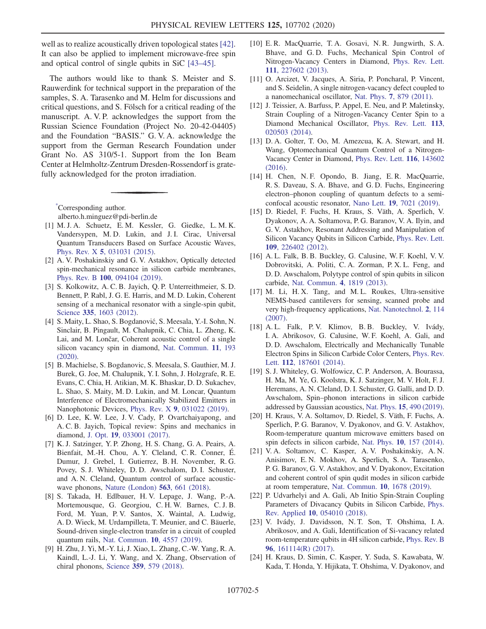well as to realize acoustically driven topological states [\[42\]](#page-5-13). It can also be applied to implement microwave-free spin and optical control of single qubits in SiC [\[43](#page-5-14)–45].

The authors would like to thank S. Meister and S. Rauwerdink for technical support in the preparation of the samples, S. A. Tarasenko and M. Helm for discussions and critical questions, and S. Fölsch for a critical reading of the manuscript. A. V. P. acknowledges the support from the Russian Science Foundation (Project No. 20-42-04405) and the Foundation "BASIS." G. V. A. acknowledge the support from the German Research Foundation under Grant No. AS 310/5-1. Support from the Ion Beam Center at Helmholtz-Zentrum Dresden-Rossendorf is gratefully acknowledged for the proton irradiation.

<span id="page-4-0"></span>[\\*](#page-0-0) Corresponding author.

alberto.h.minguez@pdi-berlin.de

- <span id="page-4-1"></span>[1] M. J. A. Schuetz, E. M. Kessler, G. Giedke, L. M. K. Vandersypen, M. D. Lukin, and J. I. Cirac, Universal Quantum Transducers Based on Surface Acoustic Waves, Phys. Rev. X 5[, 031031 \(2015\).](https://doi.org/10.1103/PhysRevX.5.031031)
- <span id="page-4-2"></span>[2] A. V. Poshakinskiy and G. V. Astakhov, Optically detected spin-mechanical resonance in silicon carbide membranes, Phys. Rev. B 100[, 094104 \(2019\).](https://doi.org/10.1103/PhysRevB.100.094104)
- <span id="page-4-3"></span>[3] S. Kolkowitz, A. C. B. Jayich, Q. P. Unterreithmeier, S. D. Bennett, P. Rabl, J. G. E. Harris, and M. D. Lukin, Coherent sensing of a mechanical resonator with a single-spin qubit, Science 335[, 1603 \(2012\).](https://doi.org/10.1126/science.1216821)
- <span id="page-4-4"></span>[4] S. Maity, L. Shao, S. Bogdanović, S. Meesala, Y.-I. Sohn, N. Sinclair, B. Pingault, M. Chalupnik, C. Chia, L. Zheng, K. Lai, and M. Lončar, Coherent acoustic control of a single silicon vacancy spin in diamond, [Nat. Commun.](https://doi.org/10.1038/s41467-019-13822-x) 11, 193 [\(2020\).](https://doi.org/10.1038/s41467-019-13822-x)
- <span id="page-4-5"></span>[5] B. Machielse, S. Bogdanovic, S. Meesala, S. Gauthier, M. J. Burek, G. Joe, M. Chalupnik, Y. I. Sohn, J. Holzgrafe, R. E. Evans, C. Chia, H. Atikian, M. K. Bhaskar, D. D. Sukachev, L. Shao, S. Maity, M. D. Lukin, and M. Loncar, Quantum Interference of Electromechanically Stabilized Emitters in Nanophotonic Devices, Phys. Rev. X 9[, 031022 \(2019\)](https://doi.org/10.1103/PhysRevX.9.031022).
- <span id="page-4-6"></span>[6] D. Lee, K. W. Lee, J. V. Cady, P. Ovartchaiyapong, and A. C. B. Jayich, Topical review: Spins and mechanics in diamond, J. Opt. 19[, 033001 \(2017\)](https://doi.org/10.1088/2040-8986/aa52cd).
- [7] K. J. Satzinger, Y. P. Zhong, H. S. Chang, G. A. Peairs, A. Bienfait, M.-H. Chou, A. Y. Cleland, C. R. Conner, É. Dumur, J. Grebel, I. Gutierrez, B. H. November, R. G. Povey, S. J. Whiteley, D. D. Awschalom, D. I. Schuster, and A. N. Cleland, Quantum control of surface acousticwave phonons, [Nature \(London\)](https://doi.org/10.1038/s41586-018-0719-5) 563, 661 (2018).
- [8] S. Takada, H. Edlbauer, H. V. Lepage, J. Wang, P.-A. Mortemousque, G. Georgiou, C. H. W. Barnes, C. J. B. Ford, M. Yuan, P. V. Santos, X. Waintal, A. Ludwig, A. D. Wieck, M. Urdampilleta, T. Meunier, and C. Bäuerle, Sound-driven single-electron transfer in a circuit of coupled quantum rails, [Nat. Commun.](https://doi.org/10.1038/s41467-019-12514-w) 10, 4557 (2019).
- <span id="page-4-7"></span>[9] H. Zhu, J. Yi, M.-Y. Li, J. Xiao, L. Zhang, C.-W. Yang, R. A. Kaindl, L.-J. Li, Y. Wang, and X. Zhang, Observation of chiral phonons, Science 359[, 579 \(2018\).](https://doi.org/10.1126/science.aar2711)
- [10] E. R. MacQuarrie, T. A. Gosavi, N. R. Jungwirth, S. A. Bhave, and G. D. Fuchs, Mechanical Spin Control of Nitrogen-Vacancy Centers in Diamond, [Phys. Rev. Lett.](https://doi.org/10.1103/PhysRevLett.111.227602) 111[, 227602 \(2013\).](https://doi.org/10.1103/PhysRevLett.111.227602)
- [11] O. Arcizet, V. Jacques, A. Siria, P. Poncharal, P. Vincent, and S. Seidelin, A single nitrogen-vacancy defect coupled to a nanomechanical oscillator, Nat. Phys. 7[, 879 \(2011\).](https://doi.org/10.1038/nphys2070)
- [12] J. Teissier, A. Barfuss, P. Appel, E. Neu, and P. Maletinsky, Strain Coupling of a Nitrogen-Vacancy Center Spin to a Diamond Mechanical Oscillator, [Phys. Rev. Lett.](https://doi.org/10.1103/PhysRevLett.113.020503) 113, [020503 \(2014\).](https://doi.org/10.1103/PhysRevLett.113.020503)
- [13] D. A. Golter, T. Oo, M. Amezcua, K. A. Stewart, and H. Wang, Optomechanical Quantum Control of a Nitrogen-Vacancy Center in Diamond, [Phys. Rev. Lett.](https://doi.org/10.1103/PhysRevLett.116.143602) 116, 143602 [\(2016\).](https://doi.org/10.1103/PhysRevLett.116.143602)
- [14] H. Chen, N. F. Opondo, B. Jiang, E. R. MacQuarrie, R. S. Daveau, S. A. Bhave, and G. D. Fuchs, Engineering electron–phonon coupling of quantum defects to a semiconfocal acoustic resonator, Nano Lett. 19[, 7021 \(2019\)](https://doi.org/10.1021/acs.nanolett.9b02430).
- <span id="page-4-8"></span>[15] D. Riedel, F. Fuchs, H. Kraus, S. Väth, A. Sperlich, V. Dyakonov, A. A. Soltamova, P. G. Baranov, V. A. Ilyin, and G. V. Astakhov, Resonant Addressing and Manipulation of Silicon Vacancy Qubits in Silicon Carbide, [Phys. Rev. Lett.](https://doi.org/10.1103/PhysRevLett.109.226402) 109[, 226402 \(2012\).](https://doi.org/10.1103/PhysRevLett.109.226402)
- <span id="page-4-9"></span>[16] A. L. Falk, B. B. Buckley, G. Calusine, W. F. Koehl, V. V. Dobrovitski, A. Politi, C. A. Zorman, P. X. L. Feng, and D. D. Awschalom, Polytype control of spin qubits in silicon carbide, [Nat. Commun.](https://doi.org/10.1038/ncomms2854) 4, 1819 (2013).
- <span id="page-4-10"></span>[17] M. Li, H. X. Tang, and M. L. Roukes, Ultra-sensitive NEMS-based cantilevers for sensing, scanned probe and very high-frequency applications, [Nat. Nanotechnol.](https://doi.org/10.1038/nnano.2006.208) 2, 114 [\(2007\).](https://doi.org/10.1038/nnano.2006.208)
- <span id="page-4-11"></span>[18] A. L. Falk, P. V. Klimov, B. B. Buckley, V. Ivády, I. A. Abrikosov, G. Calusine, W. F. Koehl, A. Gali, and D. D. Awschalom, Electrically and Mechanically Tunable Electron Spins in Silicon Carbide Color Centers, [Phys. Rev.](https://doi.org/10.1103/PhysRevLett.112.187601) Lett. 112[, 187601 \(2014\)](https://doi.org/10.1103/PhysRevLett.112.187601).
- <span id="page-4-12"></span>[19] S. J. Whiteley, G. Wolfowicz, C. P. Anderson, A. Bourassa, H. Ma, M. Ye, G. Koolstra, K. J. Satzinger, M. V. Holt, F. J. Heremans, A. N. Cleland, D. I. Schuster, G. Galli, and D. D. Awschalom, Spin–phonon interactions in silicon carbide addressed by Gaussian acoustics, Nat. Phys. 15[, 490 \(2019\).](https://doi.org/10.1038/s41567-019-0420-0)
- <span id="page-4-13"></span>[20] H. Kraus, V. A. Soltamov, D. Riedel, S. Väth, F. Fuchs, A. Sperlich, P. G. Baranov, V. Dyakonov, and G. V. Astakhov, Room-temperature quantum microwave emitters based on spin defects in silicon carbide, Nat. Phys. 10[, 157 \(2014\)](https://doi.org/10.1038/nphys2826).
- <span id="page-4-14"></span>[21] V. A. Soltamov, C. Kasper, A. V. Poshakinskiy, A. N. Anisimov, E. N. Mokhov, A. Sperlich, S. A. Tarasenko, P. G. Baranov, G. V. Astakhov, and V. Dyakonov, Excitation and coherent control of spin qudit modes in silicon carbide at room temperature, [Nat. Commun.](https://doi.org/10.1038/s41467-019-09429-x) 10, 1678 (2019).
- [22] P. Udvarhelyi and A. Gali, Ab Initio Spin-Strain Coupling Parameters of Divacancy Qubits in Silicon Carbide, [Phys.](https://doi.org/10.1103/PhysRevApplied.10.054010) Rev. Applied 10[, 054010 \(2018\).](https://doi.org/10.1103/PhysRevApplied.10.054010)
- <span id="page-4-15"></span>[23] V. Ivády, J. Davidsson, N. T. Son, T. Ohshima, I. A. Abrikosov, and A. Gali, Identification of Si-vacancy related room-temperature qubits in 4H silicon carbide, [Phys. Rev. B](https://doi.org/10.1103/PhysRevB.96.161114) 96[, 161114\(R\) \(2017\)](https://doi.org/10.1103/PhysRevB.96.161114).
- <span id="page-4-16"></span>[24] H. Kraus, D. Simin, C. Kasper, Y. Suda, S. Kawabata, W. Kada, T. Honda, Y. Hijikata, T. Ohshima, V. Dyakonov, and